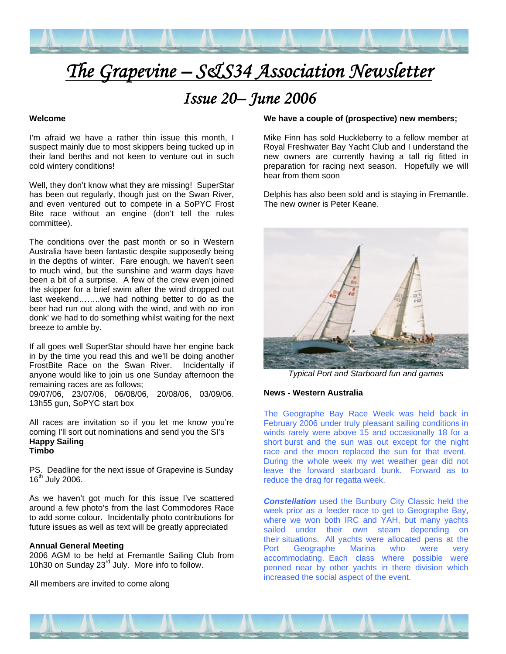

# *The Grapevine – S&S34 Association Newsletter*

# *Issue 20– June 2006*

# **Welcome**

I'm afraid we have a rather thin issue this month, I suspect mainly due to most skippers being tucked up in their land berths and not keen to venture out in such cold wintery conditions!

Well, they don't know what they are missing! SuperStar has been out regularly, though just on the Swan River, and even ventured out to compete in a SoPYC Frost Bite race without an engine (don't tell the rules committee).

The conditions over the past month or so in Western Australia have been fantastic despite supposedly being in the depths of winter. Fare enough, we haven't seen to much wind, but the sunshine and warm days have been a bit of a surprise. A few of the crew even joined the skipper for a brief swim after the wind dropped out last weekend……..we had nothing better to do as the beer had run out along with the wind, and with no iron donk' we had to do something whilst waiting for the next breeze to amble by.

If all goes well SuperStar should have her engine back in by the time you read this and we'll be doing another FrostBite Race on the Swan River. Incidentally if anyone would like to join us one Sunday afternoon the remaining races are as follows;

09/07/06, 23/07/06, 06/08/06, 20/08/06, 03/09/06. 13h55 gun, SoPYC start box

All races are invitation so if you let me know you're coming I'll sort out nominations and send you the SI's **Happy Sailing Timbo** 

PS. Deadline for the next issue of Grapevine is Sunday  $16^{th}$  July 2006.

As we haven't got much for this issue I've scattered around a few photo's from the last Commodores Race to add some colour. Incidentally photo contributions for future issues as well as text will be greatly appreciated

#### **Annual General Meeting**

2006 AGM to be held at Fremantle Sailing Club from 10h30 on Sunday 23<sup>rd</sup> July. More info to follow.

All members are invited to come along

# **We have a couple of (prospective) new members;**

Mike Finn has sold Huckleberry to a fellow member at Royal Freshwater Bay Yacht Club and I understand the new owners are currently having a tall rig fitted in preparation for racing next season. Hopefully we will hear from them soon

Delphis has also been sold and is staying in Fremantle. The new owner is Peter Keane.



*Typical Port and Starboard fun and games* 

#### **News - Western Australia**

The Geographe Bay Race Week was held back in February 2006 under truly pleasant sailing conditions in winds rarely were above 15 and occasionally 18 for a short burst and the sun was out except for the night race and the moon replaced the sun for that event. During the whole week my wet weather gear did not leave the forward starboard bunk. Forward as to reduce the drag for regatta week.

*Constellation* used the Bunbury City Classic held the week prior as a feeder race to get to Geographe Bay, where we won both IRC and YAH, but many yachts sailed under their own steam depending on their situations. All yachts were allocated pens at the Port Geographe Marina who were very accommodating. Each class where possible were penned near by other yachts in there division which increased the social aspect of the event.

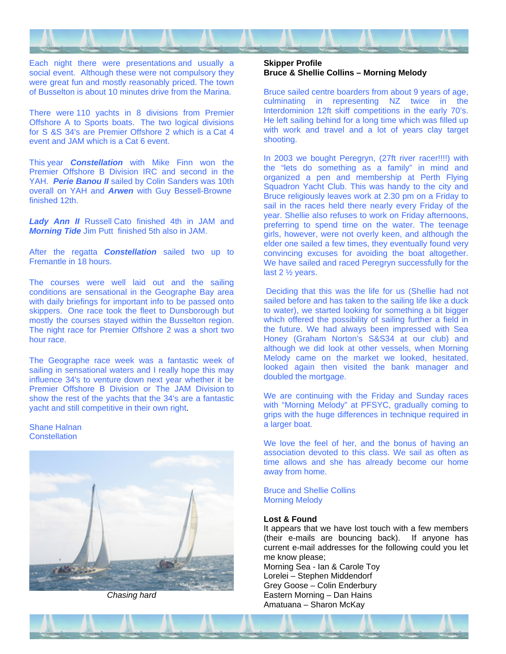

Each night there were presentations and usually a social event. Although these were not compulsory they were great fun and mostly reasonably priced. The town of Busselton is about 10 minutes drive from the Marina.

There were 110 yachts in 8 divisions from Premier Offshore A to Sports boats. The two logical divisions for S &S 34's are Premier Offshore 2 which is a Cat 4 event and JAM which is a Cat 6 event.

This year *Constellation* with Mike Finn won the Premier Offshore B Division IRC and second in the YAH. *Perie Banou II* sailed by Colin Sanders was 10th overall on YAH and *Arwen* with Guy Bessell-Browne finished 12th.

*Lady Ann II* Russell Cato finished 4th in JAM and *Morning Tide* Jim Putt finished 5th also in JAM.

After the regatta *Constellation* sailed two up to Fremantle in 18 hours.

The courses were well laid out and the sailing conditions are sensational in the Geographe Bay area with daily briefings for important info to be passed onto skippers. One race took the fleet to Dunsborough but mostly the courses stayed within the Busselton region. The night race for Premier Offshore 2 was a short two hour race.

The Geographe race week was a fantastic week of sailing in sensational waters and I really hope this may influence 34's to venture down next year whether it be Premier Offshore B Division or The JAM Division to show the rest of the yachts that the 34's are a fantastic yacht and still competitive in their own right.

Shane Halnan **Constellation** 



*Chasing hard* 

# **Skipper Profile Bruce & Shellie Collins – Morning Melody**

Bruce sailed centre boarders from about 9 years of age, culminating in representing NZ twice in the Interdominion 12ft skiff competitions in the early 70's. He left sailing behind for a long time which was filled up with work and travel and a lot of years clay target shooting.

In 2003 we bought Peregryn, (27ft river racer!!!!) with the "lets do something as a family" in mind and organized a pen and membership at Perth Flying Squadron Yacht Club. This was handy to the city and Bruce religiously leaves work at 2.30 pm on a Friday to sail in the races held there nearly every Friday of the year. Shellie also refuses to work on Friday afternoons, preferring to spend time on the water. The teenage girls, however, were not overly keen, and although the elder one sailed a few times, they eventually found very convincing excuses for avoiding the boat altogether. We have sailed and raced Peregryn successfully for the last 2 ½ years.

 Deciding that this was the life for us (Shellie had not sailed before and has taken to the sailing life like a duck to water), we started looking for something a bit bigger which offered the possibility of sailing further a field in the future. We had always been impressed with Sea Honey (Graham Norton's S&S34 at our club) and although we did look at other vessels, when Morning Melody came on the market we looked, hesitated, looked again then visited the bank manager and doubled the mortgage.

We are continuing with the Friday and Sunday races with "Morning Melody" at PFSYC, gradually coming to grips with the huge differences in technique required in a larger boat.

We love the feel of her, and the bonus of having an association devoted to this class. We sail as often as time allows and she has already become our home away from home.

Bruce and Shellie Collins Morning Melody

# **Lost & Found**

It appears that we have lost touch with a few members (their e-mails are bouncing back). If anyone has current e-mail addresses for the following could you let me know please;

Morning Sea - Ian & Carole Toy Lorelei – Stephen Middendorf Grey Goose – Colin Enderbury Eastern Morning – Dan Hains Amatuana – Sharon McKay